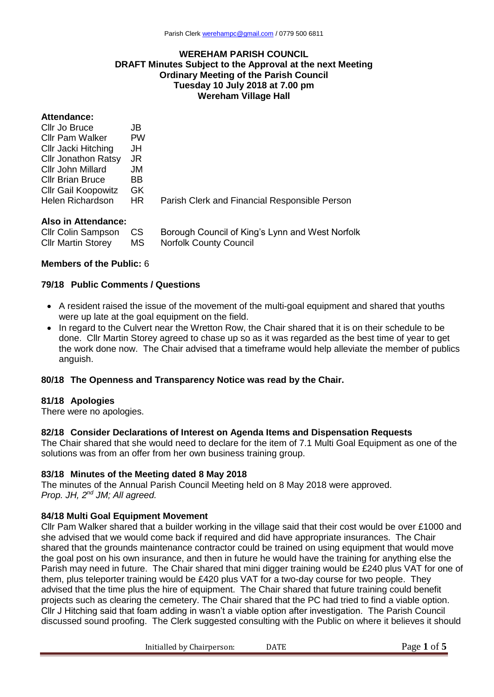#### **WEREHAM PARISH COUNCIL DRAFT Minutes Subject to the Approval at the next Meeting Ordinary Meeting of the Parish Council Tuesday 10 July 2018 at 7.00 pm Wereham Village Hall**

#### **Attendance:**

| Cllr Jo Bruce              | JB        |                                               |
|----------------------------|-----------|-----------------------------------------------|
| <b>Cllr Pam Walker</b>     | <b>PW</b> |                                               |
| Cllr Jacki Hitching        | JH        |                                               |
| <b>Cllr Jonathon Ratsy</b> | JR.       |                                               |
| Cllr John Millard          | JM.       |                                               |
| <b>Cllr Brian Bruce</b>    | BB.       |                                               |
| <b>CIIr Gail Koopowitz</b> | GK.       |                                               |
| Helen Richardson           | HR.       | Parish Clerk and Financial Responsible Person |
|                            |           |                                               |

#### **Also in Attendance:**

| Cllr Colin Sampson CS     |    | Borough Council of King's Lynn and West Norfolk |
|---------------------------|----|-------------------------------------------------|
| <b>CIIr Martin Storey</b> | MS | Norfolk County Council                          |

#### **Members of the Public:** 6

#### **79/18 Public Comments / Questions**

- A resident raised the issue of the movement of the multi-goal equipment and shared that youths were up late at the goal equipment on the field.
- In regard to the Culvert near the Wretton Row, the Chair shared that it is on their schedule to be done. Cllr Martin Storey agreed to chase up so as it was regarded as the best time of year to get the work done now. The Chair advised that a timeframe would help alleviate the member of publics anguish.

## **80/18 The Openness and Transparency Notice was read by the Chair.**

#### **81/18 Apologies**

There were no apologies.

## **82/18 Consider Declarations of Interest on Agenda Items and Dispensation Requests**

The Chair shared that she would need to declare for the item of 7.1 Multi Goal Equipment as one of the solutions was from an offer from her own business training group.

## **83/18 Minutes of the Meeting dated 8 May 2018**

The minutes of the Annual Parish Council Meeting held on 8 May 2018 were approved. *Prop. JH, 2nd JM; All agreed.*

## **84/18 Multi Goal Equipment Movement**

Cllr Pam Walker shared that a builder working in the village said that their cost would be over £1000 and she advised that we would come back if required and did have appropriate insurances. The Chair shared that the grounds maintenance contractor could be trained on using equipment that would move the goal post on his own insurance, and then in future he would have the training for anything else the Parish may need in future. The Chair shared that mini digger training would be £240 plus VAT for one of them, plus teleporter training would be £420 plus VAT for a two-day course for two people. They advised that the time plus the hire of equipment. The Chair shared that future training could benefit projects such as clearing the cemetery. The Chair shared that the PC had tried to find a viable option. Cllr J Hitching said that foam adding in wasn't a viable option after investigation. The Parish Council discussed sound proofing. The Clerk suggested consulting with the Public on where it believes it should

Initialled by Chairperson: DATE Page 1 of 5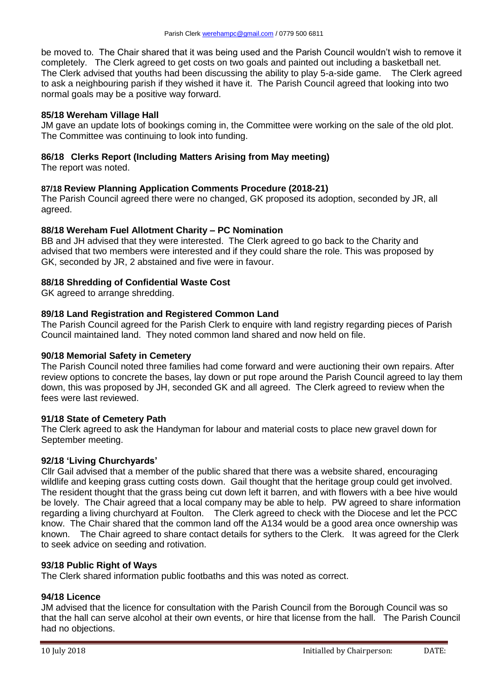be moved to. The Chair shared that it was being used and the Parish Council wouldn't wish to remove it completely. The Clerk agreed to get costs on two goals and painted out including a basketball net. The Clerk advised that youths had been discussing the ability to play 5-a-side game. The Clerk agreed to ask a neighbouring parish if they wished it have it. The Parish Council agreed that looking into two normal goals may be a positive way forward.

## **85/18 Wereham Village Hall**

JM gave an update lots of bookings coming in, the Committee were working on the sale of the old plot. The Committee was continuing to look into funding.

# **86/18 Clerks Report (Including Matters Arising from May meeting)**

The report was noted.

# **87/18 Review Planning Application Comments Procedure (2018-21)**

The Parish Council agreed there were no changed, GK proposed its adoption, seconded by JR, all agreed.

## **88/18 Wereham Fuel Allotment Charity – PC Nomination**

BB and JH advised that they were interested. The Clerk agreed to go back to the Charity and advised that two members were interested and if they could share the role. This was proposed by GK, seconded by JR, 2 abstained and five were in favour.

# **88/18 Shredding of Confidential Waste Cost**

GK agreed to arrange shredding.

# **89/18 Land Registration and Registered Common Land**

The Parish Council agreed for the Parish Clerk to enquire with land registry regarding pieces of Parish Council maintained land. They noted common land shared and now held on file.

## **90/18 Memorial Safety in Cemetery**

The Parish Council noted three families had come forward and were auctioning their own repairs. After review options to concrete the bases, lay down or put rope around the Parish Council agreed to lay them down, this was proposed by JH, seconded GK and all agreed. The Clerk agreed to review when the fees were last reviewed.

## **91/18 State of Cemetery Path**

The Clerk agreed to ask the Handyman for labour and material costs to place new gravel down for September meeting.

## **92/18 'Living Churchyards'**

Cllr Gail advised that a member of the public shared that there was a website shared, encouraging wildlife and keeping grass cutting costs down. Gail thought that the heritage group could get involved. The resident thought that the grass being cut down left it barren, and with flowers with a bee hive would be lovely. The Chair agreed that a local company may be able to help. PW agreed to share information regarding a living churchyard at Foulton. The Clerk agreed to check with the Diocese and let the PCC know. The Chair shared that the common land off the A134 would be a good area once ownership was known. The Chair agreed to share contact details for sythers to the Clerk. It was agreed for the Clerk to seek advice on seeding and rotivation.

## **93/18 Public Right of Ways**

The Clerk shared information public footbaths and this was noted as correct.

## **94/18 Licence**

JM advised that the licence for consultation with the Parish Council from the Borough Council was so that the hall can serve alcohol at their own events, or hire that license from the hall. The Parish Council had no objections.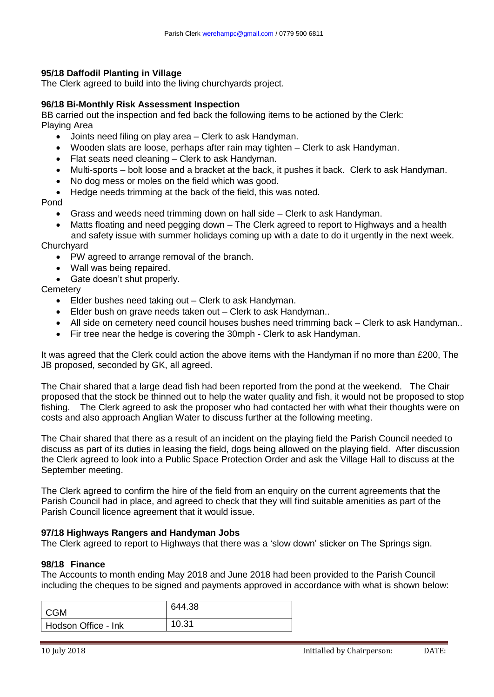## **95/18 Daffodil Planting in Village**

The Clerk agreed to build into the living churchyards project.

## **96/18 Bi-Monthly Risk Assessment Inspection**

BB carried out the inspection and fed back the following items to be actioned by the Clerk: Playing Area

- Joints need filing on play area Clerk to ask Handyman.
- Wooden slats are loose, perhaps after rain may tighten Clerk to ask Handyman.
- Flat seats need cleaning Clerk to ask Handyman.
- Multi-sports bolt loose and a bracket at the back, it pushes it back. Clerk to ask Handyman.
- No dog mess or moles on the field which was good.

Hedge needs trimming at the back of the field, this was noted.

Pond

- Grass and weeds need trimming down on hall side Clerk to ask Handyman.
- Matts floating and need pegging down The Clerk agreed to report to Highways and a health and safety issue with summer holidays coming up with a date to do it urgently in the next week.

#### **Churchyard**

- PW agreed to arrange removal of the branch.
- Wall was being repaired.
- Gate doesn't shut properly.

# **Cemetery**

- Elder bushes need taking out Clerk to ask Handyman.
- Elder bush on grave needs taken out Clerk to ask Handyman..
- All side on cemetery need council houses bushes need trimming back Clerk to ask Handyman..
- Fir tree near the hedge is covering the 30mph Clerk to ask Handyman.

It was agreed that the Clerk could action the above items with the Handyman if no more than £200, The JB proposed, seconded by GK, all agreed.

The Chair shared that a large dead fish had been reported from the pond at the weekend. The Chair proposed that the stock be thinned out to help the water quality and fish, it would not be proposed to stop fishing. The Clerk agreed to ask the proposer who had contacted her with what their thoughts were on costs and also approach Anglian Water to discuss further at the following meeting.

The Chair shared that there as a result of an incident on the playing field the Parish Council needed to discuss as part of its duties in leasing the field, dogs being allowed on the playing field. After discussion the Clerk agreed to look into a Public Space Protection Order and ask the Village Hall to discuss at the September meeting.

The Clerk agreed to confirm the hire of the field from an enquiry on the current agreements that the Parish Council had in place, and agreed to check that they will find suitable amenities as part of the Parish Council licence agreement that it would issue.

## **97/18 Highways Rangers and Handyman Jobs**

The Clerk agreed to report to Highways that there was a 'slow down' sticker on The Springs sign.

## **98/18 Finance**

The Accounts to month ending May 2018 and June 2018 had been provided to the Parish Council including the cheques to be signed and payments approved in accordance with what is shown below:

| l CGM               | 644.38 |
|---------------------|--------|
| Hodson Office - Ink | 10.31  |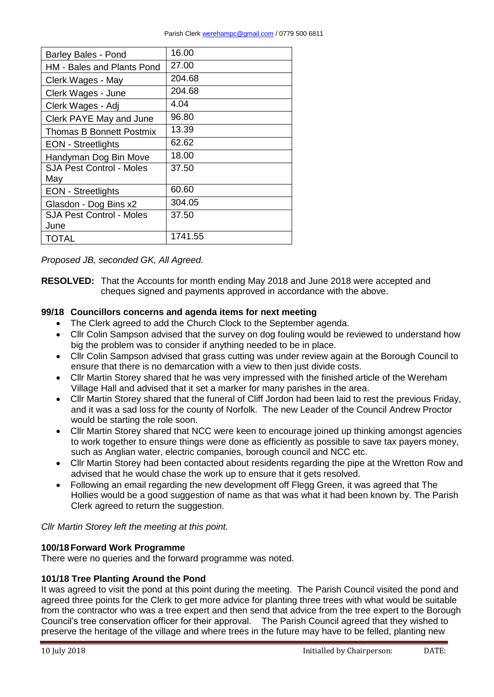| <b>Barley Bales - Pond</b>        | 16.00   |
|-----------------------------------|---------|
| <b>HM - Bales and Plants Pond</b> | 27.00   |
| Clerk Wages - May                 | 204.68  |
| Clerk Wages - June                | 204.68  |
| Clerk Wages - Adj                 | 4.04    |
| Clerk PAYE May and June           | 96.80   |
| Thomas B Bonnett Postmix          | 13.39   |
| <b>EON</b> - Streetlights         | 62.62   |
| Handyman Dog Bin Move             | 18.00   |
| <b>SJA Pest Control - Moles</b>   | 37.50   |
| May                               |         |
| <b>EON</b> - Streetlights         | 60.60   |
| Glasdon - Dog Bins x2             | 304.05  |
| <b>SJA Pest Control - Moles</b>   | 37.50   |
| June                              |         |
| TOTAL                             | 1741.55 |

*Proposed JB, seconded GK, All Agreed.*

**RESOLVED:** That the Accounts for month ending May 2018 and June 2018 were accepted and cheques signed and payments approved in accordance with the above.

## **99/18 Councillors concerns and agenda items for next meeting**

- The Clerk agreed to add the Church Clock to the September agenda.
- Cllr Colin Sampson advised that the survey on dog fouling would be reviewed to understand how big the problem was to consider if anything needed to be in place.
- Cllr Colin Sampson advised that grass cutting was under review again at the Borough Council to ensure that there is no demarcation with a view to then just divide costs.
- Cllr Martin Storey shared that he was very impressed with the finished article of the Wereham Village Hall and advised that it set a marker for many parishes in the area.
- Cllr Martin Storey shared that the funeral of Cliff Jordon had been laid to rest the previous Friday, and it was a sad loss for the county of Norfolk. The new Leader of the Council Andrew Proctor would be starting the role soon.
- Cllr Martin Storey shared that NCC were keen to encourage joined up thinking amongst agencies to work together to ensure things were done as efficiently as possible to save tax payers money, such as Anglian water, electric companies, borough council and NCC etc.
- Cllr Martin Storey had been contacted about residents regarding the pipe at the Wretton Row and advised that he would chase the work up to ensure that it gets resolved.
- Following an email regarding the new development off Flegg Green, it was agreed that The Hollies would be a good suggestion of name as that was what it had been known by. The Parish Clerk agreed to return the suggestion.

*Cllr Martin Storey left the meeting at this point.*

# **100/18Forward Work Programme**

There were no queries and the forward programme was noted.

## **101/18 Tree Planting Around the Pond**

It was agreed to visit the pond at this point during the meeting. The Parish Council visited the pond and agreed three points for the Clerk to get more advice for planting three trees with what would be suitable from the contractor who was a tree expert and then send that advice from the tree expert to the Borough Council's tree conservation officer for their approval. The Parish Council agreed that they wished to preserve the heritage of the village and where trees in the future may have to be felled, planting new